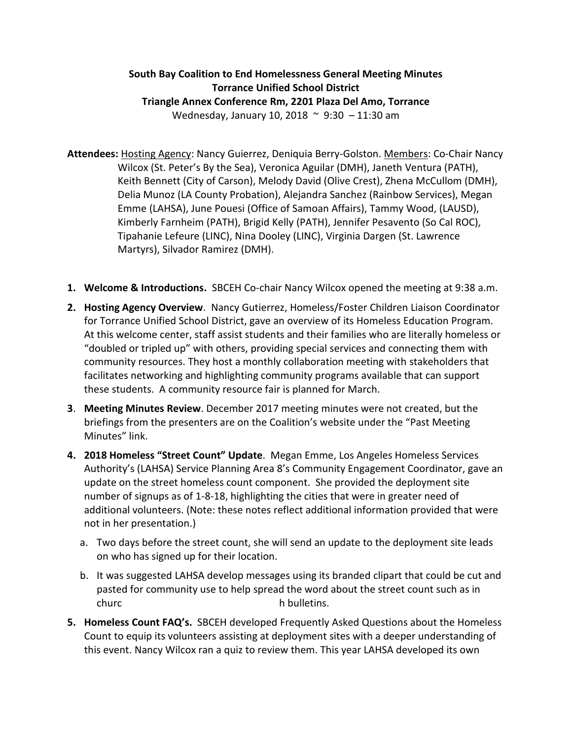## **South Bay Coalition to End Homelessness General Meeting Minutes Torrance Unified School District Triangle Annex Conference Rm, 2201 Plaza Del Amo, Torrance** Wednesday, January 10, 2018 ~ 9:30 – 11:30 am

- **Attendees:** Hosting Agency: Nancy Guierrez, Deniquia Berry-Golston. Members: Co-Chair Nancy Wilcox (St. Peter's By the Sea), Veronica Aguilar (DMH), Janeth Ventura (PATH), Keith Bennett (City of Carson), Melody David (Olive Crest), Zhena McCullom (DMH), Delia Munoz (LA County Probation), Alejandra Sanchez (Rainbow Services), Megan Emme (LAHSA), June Pouesi (Office of Samoan Affairs), Tammy Wood, (LAUSD), Kimberly Farnheim (PATH), Brigid Kelly (PATH), Jennifer Pesavento (So Cal ROC), Tipahanie Lefeure (LINC), Nina Dooley (LINC), Virginia Dargen (St. Lawrence Martyrs), Silvador Ramirez (DMH).
- **1. Welcome & Introductions.** SBCEH Co-chair Nancy Wilcox opened the meeting at 9:38 a.m.
- **2. Hosting Agency Overview**. Nancy Gutierrez, Homeless/Foster Children Liaison Coordinator for Torrance Unified School District, gave an overview of its Homeless Education Program. At this welcome center, staff assist students and their families who are literally homeless or "doubled or tripled up" with others, providing special services and connecting them with community resources. They host a monthly collaboration meeting with stakeholders that facilitates networking and highlighting community programs available that can support these students. A community resource fair is planned for March.
- **3**. **Meeting Minutes Review**. December 2017 meeting minutes were not created, but the briefings from the presenters are on the Coalition's website under the "Past Meeting Minutes" link.
- **4. 2018 Homeless "Street Count" Update**. Megan Emme, Los Angeles Homeless Services Authority's (LAHSA) Service Planning Area 8's Community Engagement Coordinator, gave an update on the street homeless count component. She provided the deployment site number of signups as of 1-8-18, highlighting the cities that were in greater need of additional volunteers. (Note: these notes reflect additional information provided that were not in her presentation.)
	- a. Two days before the street count, she will send an update to the deployment site leads on who has signed up for their location.
	- b. It was suggested LAHSA develop messages using its branded clipart that could be cut and pasted for community use to help spread the word about the street count such as in churc h bulletins.
- **5. Homeless Count FAQ's.** SBCEH developed Frequently Asked Questions about the Homeless Count to equip its volunteers assisting at deployment sites with a deeper understanding of this event. Nancy Wilcox ran a quiz to review them. This year LAHSA developed its own